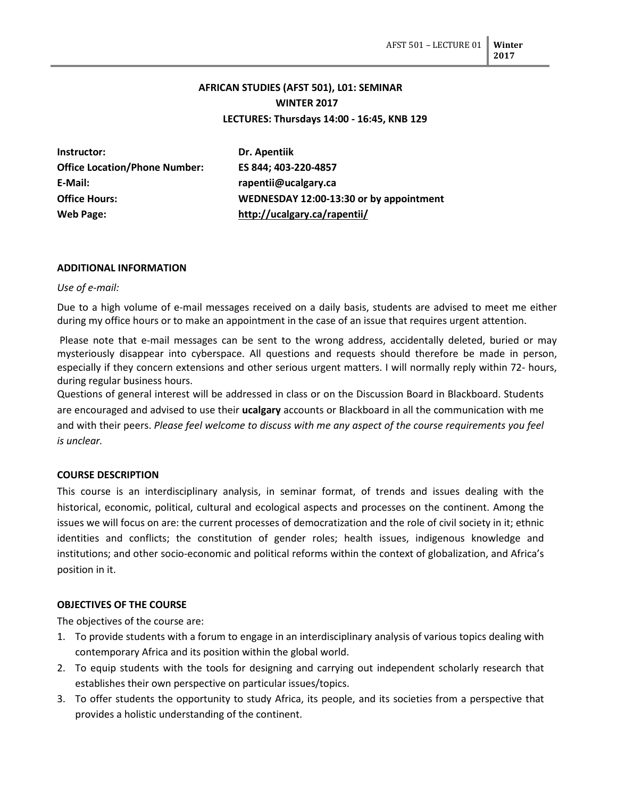# **AFRICAN STUDIES (AFST 501), L01: SEMINAR WINTER 2017 LECTURES: Thursdays 14:00 - 16:45, KNB 129**

| Instructor:                          | Dr. Apentiik                            |
|--------------------------------------|-----------------------------------------|
| <b>Office Location/Phone Number:</b> | ES 844; 403-220-4857                    |
| E-Mail:                              | rapentii@ucalgary.ca                    |
| <b>Office Hours:</b>                 | WEDNESDAY 12:00-13:30 or by appointment |
| Web Page:                            | http://ucalgary.ca/rapentii/            |

### **ADDITIONAL INFORMATION**

#### *Use of e-mail:*

Due to a high volume of e-mail messages received on a daily basis, students are advised to meet me either during my office hours or to make an appointment in the case of an issue that requires urgent attention.

Please note that e-mail messages can be sent to the wrong address, accidentally deleted, buried or may mysteriously disappear into cyberspace. All questions and requests should therefore be made in person, especially if they concern extensions and other serious urgent matters. I will normally reply within 72- hours, during regular business hours.

Questions of general interest will be addressed in class or on the Discussion Board in Blackboard. Students are encouraged and advised to use their **ucalgary** accounts or Blackboard in all the communication with me and with their peers. *Please feel welcome to discuss with me any aspect of the course requirements you feel is unclear.*

#### **COURSE DESCRIPTION**

This course is an interdisciplinary analysis, in seminar format, of trends and issues dealing with the historical, economic, political, cultural and ecological aspects and processes on the continent. Among the issues we will focus on are: the current processes of democratization and the role of civil society in it; ethnic identities and conflicts; the constitution of gender roles; health issues, indigenous knowledge and institutions; and other socio-economic and political reforms within the context of globalization, and Africa's position in it.

#### **OBJECTIVES OF THE COURSE**

The objectives of the course are:

- 1. To provide students with a forum to engage in an interdisciplinary analysis of various topics dealing with contemporary Africa and its position within the global world.
- 2. To equip students with the tools for designing and carrying out independent scholarly research that establishes their own perspective on particular issues/topics.
- 3. To offer students the opportunity to study Africa, its people, and its societies from a perspective that provides a holistic understanding of the continent.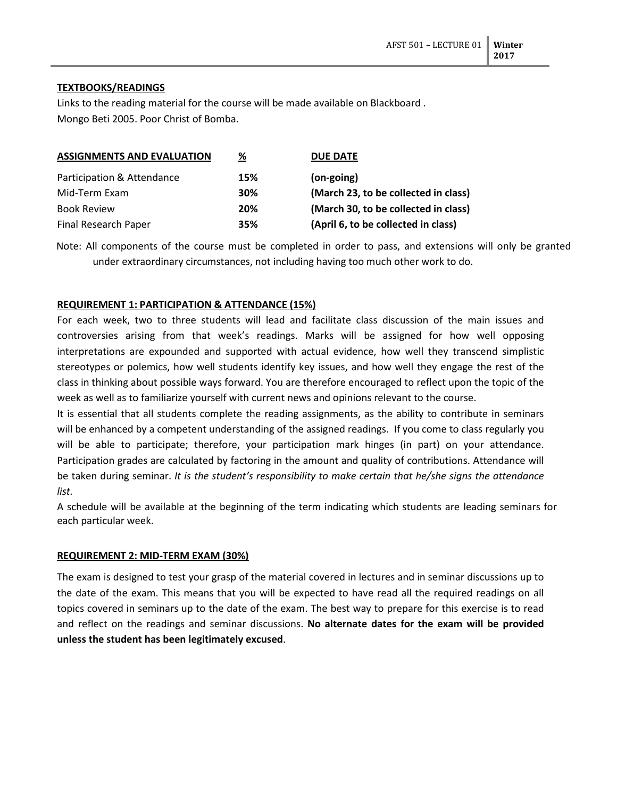# **TEXTBOOKS/READINGS**

Links to the reading material for the course will be made available on Blackboard . Mongo Beti 2005. Poor Christ of Bomba.

| <b>ASSIGNMENTS AND EVALUATION</b> | %   | <b>DUE DATE</b>                      |
|-----------------------------------|-----|--------------------------------------|
| Participation & Attendance        | 15% | (on-going)                           |
| Mid-Term Exam                     | 30% | (March 23, to be collected in class) |
| <b>Book Review</b>                | 20% | (March 30, to be collected in class) |
| Final Research Paper              | 35% | (April 6, to be collected in class)  |

Note: All components of the course must be completed in order to pass, and extensions will only be granted under extraordinary circumstances, not including having too much other work to do.

# **REQUIREMENT 1: PARTICIPATION & ATTENDANCE (15%)**

For each week, two to three students will lead and facilitate class discussion of the main issues and controversies arising from that week's readings. Marks will be assigned for how well opposing interpretations are expounded and supported with actual evidence, how well they transcend simplistic stereotypes or polemics, how well students identify key issues, and how well they engage the rest of the class in thinking about possible ways forward. You are therefore encouraged to reflect upon the topic of the week as well as to familiarize yourself with current news and opinions relevant to the course.

It is essential that all students complete the reading assignments, as the ability to contribute in seminars will be enhanced by a competent understanding of the assigned readings. If you come to class regularly you will be able to participate; therefore, your participation mark hinges (in part) on your attendance. Participation grades are calculated by factoring in the amount and quality of contributions. Attendance will be taken during seminar. *It is the student's responsibility to make certain that he/she signs the attendance list.*

A schedule will be available at the beginning of the term indicating which students are leading seminars for each particular week.

# **REQUIREMENT 2: MID-TERM EXAM (30%)**

The exam is designed to test your grasp of the material covered in lectures and in seminar discussions up to the date of the exam. This means that you will be expected to have read all the required readings on all topics covered in seminars up to the date of the exam. The best way to prepare for this exercise is to read and reflect on the readings and seminar discussions. **No alternate dates for the exam will be provided unless the student has been legitimately excused**.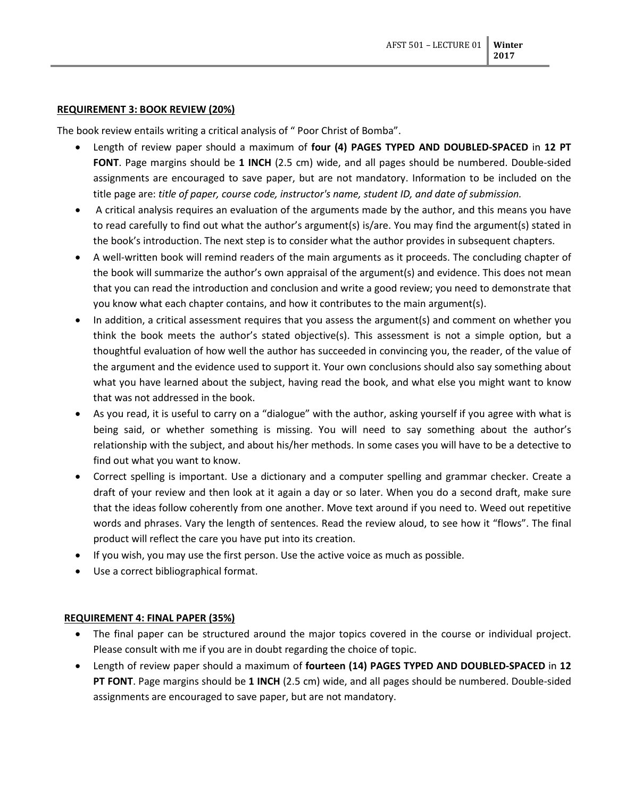#### **REQUIREMENT 3: BOOK REVIEW (20%)**

The book review entails writing a critical analysis of " Poor Christ of Bomba".

- Length of review paper should a maximum of **four (4) PAGES TYPED AND DOUBLED-SPACED** in **12 PT FONT**. Page margins should be **1 INCH** (2.5 cm) wide, and all pages should be numbered. Double-sided assignments are encouraged to save paper, but are not mandatory. Information to be included on the title page are: *title of paper, course code, instructor's name, student ID, and date of submission.*
- A critical analysis requires an evaluation of the arguments made by the author, and this means you have to read carefully to find out what the author's argument(s) is/are. You may find the argument(s) stated in the book's introduction. The next step is to consider what the author provides in subsequent chapters.
- A well-written book will remind readers of the main arguments as it proceeds. The concluding chapter of the book will summarize the author's own appraisal of the argument(s) and evidence. This does not mean that you can read the introduction and conclusion and write a good review; you need to demonstrate that you know what each chapter contains, and how it contributes to the main argument(s).
- In addition, a critical assessment requires that you assess the argument(s) and comment on whether you think the book meets the author's stated objective(s). This assessment is not a simple option, but a thoughtful evaluation of how well the author has succeeded in convincing you, the reader, of the value of the argument and the evidence used to support it. Your own conclusions should also say something about what you have learned about the subject, having read the book, and what else you might want to know that was not addressed in the book.
- As you read, it is useful to carry on a "dialogue" with the author, asking yourself if you agree with what is being said, or whether something is missing. You will need to say something about the author's relationship with the subject, and about his/her methods. In some cases you will have to be a detective to find out what you want to know.
- Correct spelling is important. Use a dictionary and a computer spelling and grammar checker. Create a draft of your review and then look at it again a day or so later. When you do a second draft, make sure that the ideas follow coherently from one another. Move text around if you need to. Weed out repetitive words and phrases. Vary the length of sentences. Read the review aloud, to see how it "flows". The final product will reflect the care you have put into its creation.
- If you wish, you may use the first person. Use the active voice as much as possible.
- Use a correct bibliographical format.

#### **REQUIREMENT 4: FINAL PAPER (35%)**

- The final paper can be structured around the major topics covered in the course or individual project. Please consult with me if you are in doubt regarding the choice of topic.
- Length of review paper should a maximum of **fourteen (14) PAGES TYPED AND DOUBLED-SPACED** in **12 PT FONT**. Page margins should be **1 INCH** (2.5 cm) wide, and all pages should be numbered. Double-sided assignments are encouraged to save paper, but are not mandatory.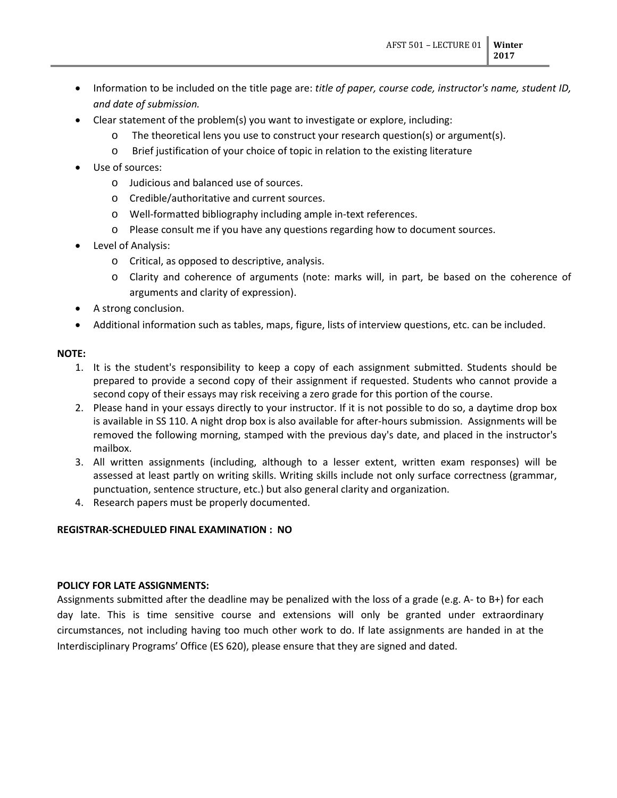- Information to be included on the title page are: *title of paper, course code, instructor's name, student ID, and date of submission.*
- Clear statement of the problem(s) you want to investigate or explore, including:
	- o The theoretical lens you use to construct your research question(s) or argument(s).
	- o Brief justification of your choice of topic in relation to the existing literature
- Use of sources:
	- o Judicious and balanced use of sources.
	- o Credible/authoritative and current sources.
	- o Well-formatted bibliography including ample in-text references.
	- o Please consult me if you have any questions regarding how to document sources.
- Level of Analysis:
	- o Critical, as opposed to descriptive, analysis.
	- o Clarity and coherence of arguments (note: marks will, in part, be based on the coherence of arguments and clarity of expression).
- A strong conclusion.
- Additional information such as tables, maps, figure, lists of interview questions, etc. can be included.

### **NOTE:**

- 1. It is the student's responsibility to keep a copy of each assignment submitted. Students should be prepared to provide a second copy of their assignment if requested. Students who cannot provide a second copy of their essays may risk receiving a zero grade for this portion of the course.
- 2. Please hand in your essays directly to your instructor. If it is not possible to do so, a daytime drop box is available in SS 110. A night drop box is also available for after-hours submission. Assignments will be removed the following morning, stamped with the previous day's date, and placed in the instructor's mailbox.
- 3. All written assignments (including, although to a lesser extent, written exam responses) will be assessed at least partly on writing skills. Writing skills include not only surface correctness (grammar, punctuation, sentence structure, etc.) but also general clarity and organization.
- 4. Research papers must be properly documented.

# **REGISTRAR-SCHEDULED FINAL EXAMINATION : NO**

#### **POLICY FOR LATE ASSIGNMENTS:**

Assignments submitted after the deadline may be penalized with the loss of a grade (e.g. A- to B+) for each day late. This is time sensitive course and extensions will only be granted under extraordinary circumstances, not including having too much other work to do. If late assignments are handed in at the Interdisciplinary Programs' Office (ES 620), please ensure that they are signed and dated.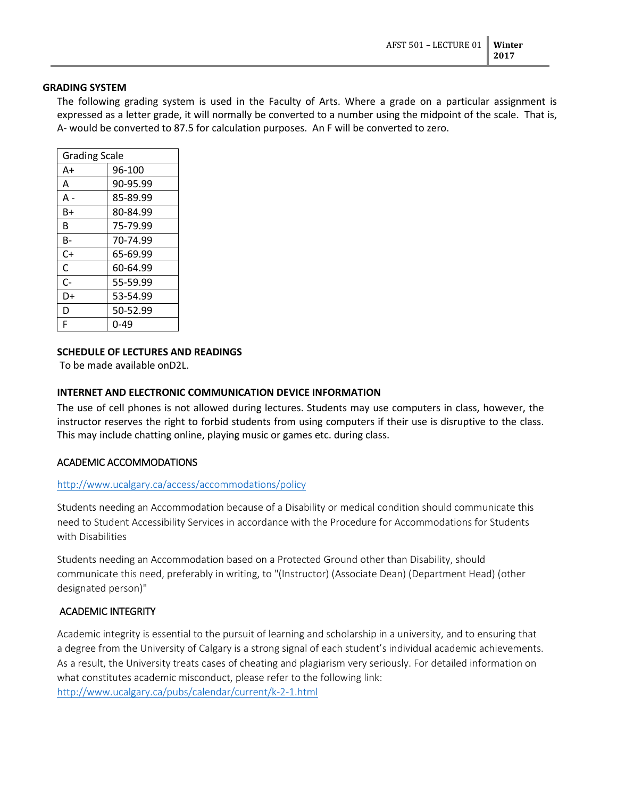#### **GRADING SYSTEM**

The following grading system is used in the Faculty of Arts. Where a grade on a particular assignment is expressed as a letter grade, it will normally be converted to a number using the midpoint of the scale. That is, A- would be converted to 87.5 for calculation purposes. An F will be converted to zero.

| <b>Grading Scale</b> |          |
|----------------------|----------|
| A+                   | 96-100   |
| A                    | 90-95.99 |
| А -                  | 85-89.99 |
| B+                   | 80-84.99 |
| B                    | 75-79.99 |
| B-                   | 70-74.99 |
| C+                   | 65-69.99 |
| C                    | 60-64.99 |
| $C-$                 | 55-59.99 |
| D+                   | 53-54.99 |
| D                    | 50-52.99 |
| F                    | በ-49     |
|                      |          |

### **SCHEDULE OF LECTURES AND READINGS**

To be made available onD2L.

### **INTERNET AND ELECTRONIC COMMUNICATION DEVICE INFORMATION**

The use of cell phones is not allowed during lectures. Students may use computers in class, however, the instructor reserves the right to forbid students from using computers if their use is disruptive to the class. This may include chatting online, playing music or games etc. during class.

# ACADEMIC ACCOMMODATIONS

# <http://www.ucalgary.ca/access/accommodations/policy>

Students needing an Accommodation because of a Disability or medical condition should communicate this need to Student Accessibility Services in accordance with the Procedure for Accommodations for Students with Disabilities

Students needing an Accommodation based on a Protected Ground other than Disability, should communicate this need, preferably in writing, to "(Instructor) (Associate Dean) (Department Head) (other designated person)"

# ACADEMIC INTEGRITY

Academic integrity is essential to the pursuit of learning and scholarship in a university, and to ensuring that a degree from the University of Calgary is a strong signal of each student's individual academic achievements. As a result, the University treats cases of cheating and plagiarism very seriously. For detailed information on what constitutes academic misconduct, please refer to the following link: <http://www.ucalgary.ca/pubs/calendar/current/k-2-1.html>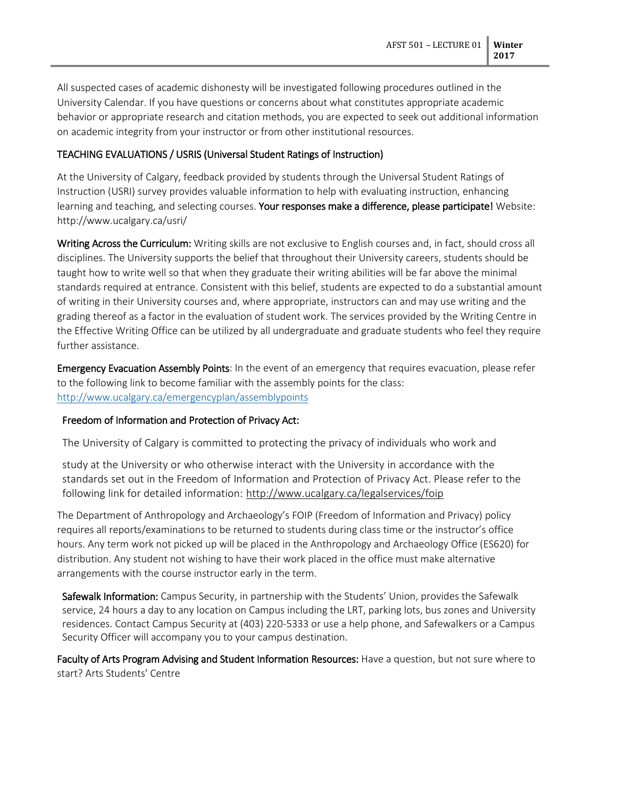All suspected cases of academic dishonesty will be investigated following procedures outlined in the University Calendar. If you have questions or concerns about what constitutes appropriate academic behavior or appropriate research and citation methods, you are expected to seek out additional information on academic integrity from your instructor or from other institutional resources.

# TEACHING EVALUATIONS / USRIS (Universal Student Ratings of Instruction)

At the University of Calgary, feedback provided by students through the Universal Student Ratings of Instruction (USRI) survey provides valuable information to help with evaluating instruction, enhancing learning and teaching, and selecting courses. Your responses make a difference, please participate! Website: http://www.ucalgary.ca/usri/

Writing Across the Curriculum: Writing skills are not exclusive to English courses and, in fact, should cross all disciplines. The University supports the belief that throughout their University careers, students should be taught how to write well so that when they graduate their writing abilities will be far above the minimal standards required at entrance. Consistent with this belief, students are expected to do a substantial amount of writing in their University courses and, where appropriate, instructors can and may use writing and the grading thereof as a factor in the evaluation of student work. The services provided by the Writing Centre in the Effective Writing Office can be utilized by all undergraduate and graduate students who feel they require further assistance.

**Emergency Evacuation Assembly Points:** In the event of an emergency that requires evacuation, please refer to the following link to become familiar with the assembly points for the class: <http://www.ucalgary.ca/emergencyplan/assemblypoints>

# Freedom of Information and Protection of Privacy Act:

The University of Calgary is committed to protecting the privacy of individuals who work and

study at the University or who otherwise interact with the University in accordance with the standards set out in the Freedom of Information and Protection of Privacy Act. Please refer to the following link for detailed information: <http://www.ucalgary.ca/legalservices/foip>

The Department of Anthropology and Archaeology's FOIP (Freedom of Information and Privacy) policy requires all reports/examinations to be returned to students during class time or the instructor's office hours. Any term work not picked up will be placed in the Anthropology and Archaeology Office (ES620) for distribution. Any student not wishing to have their work placed in the office must make alternative arrangements with the course instructor early in the term.

Safewalk Information: Campus Security, in partnership with the Students' Union, provides the Safewalk service, 24 hours a day to any location on Campus including the LRT, parking lots, bus zones and University residences. Contact Campus Security at (403) 220-5333 or use a help phone, and Safewalkers or a Campus Security Officer will accompany you to your campus destination.

Faculty of Arts Program Advising and Student Information Resources: Have a question, but not sure where to start? Arts Students' Centre